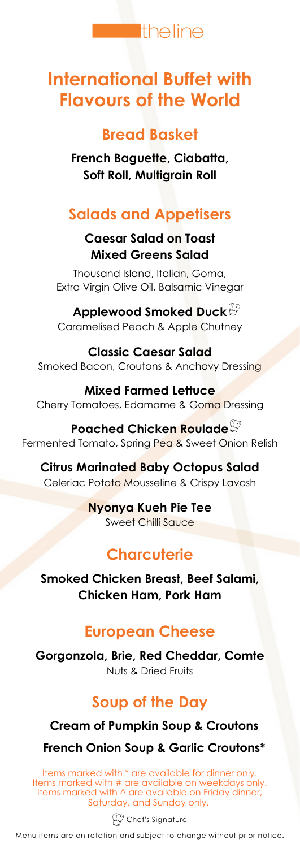

# **International Buffet with Flavours of the World**

### **Bread Basket**

**French Baguette, Ciabatta, Soft Roll, Multigrain Roll**

# **Salads and Appetisers**

#### **Caesar Salad on Toast Mixed Greens Salad**

Thousand Island, Italian, Goma, Extra Virgin Olive Oil, Balsamic Vinegar

**Applewood Smoked Duck** Caramelised Peach & Apple Chutney

**Classic Caesar Salad** Smoked Bacon, Croutons & Anchovy Dressing

**Mixed Farmed Lettuce** Cherry Tomatoes, Edamame & Goma Dressing

**Poached Chicken Roulade** Fermented Tomato, Spring Pea & Sweet Onion Relish

**Citrus Marinated Baby Octopus Salad** Celeriac Potato Mousseline & Crispy Lavosh

> **Nyonya Kueh Pie Tee** Sweet Chilli Sauce

# **Charcuterie**

**Smoked Chicken Breast, Beef Salami, Chicken Ham, Pork Ham**

## **European Cheese**

**Gorgonzola, Brie, Red Cheddar, Comte** Nuts & Dried Fruits

# **Soup of the Day**

### **Cream of Pumpkin Soup & Croutons**

### **French Onion Soup & Garlic Croutons\***

Items marked with \* are available for dinner only. Items marked with # are available on weekdays only. Items marked with  $\land$  are available on Friday dinner, Saturday, and Sunday only.

 $\widehat{\mathbb{W}}$  Chef's Signature

Menu items are on rotation and subject to change without prior notice.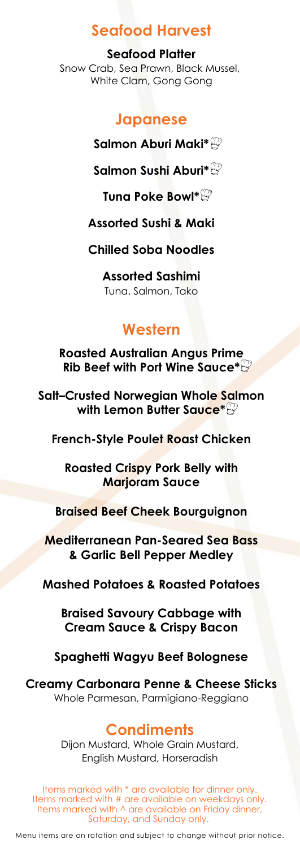### **Seafood Harvest**

**Seafood Platter** Snow Crab, Sea Prawn, Black Mussel, White Clam, Gong Gong

### **Japanese**

**Salmon Aburi Maki\***

**Salmon Sushi Aburi\***

**Tuna Poke Bowl\***

**Assorted Sushi & Maki**

**Chilled Soba Noodles**

**Assorted Sashimi** Tuna, Salmon, Tako

## **Western**

**Roasted Australian Angus Prime Rib Beef with Port Wine Sauce\***

**Salt–Crusted Norwegian Whole Salmon with Lemon Butter Sauce\***

**French-Style Poulet Roast Chicken**

**Roasted Crispy Pork Belly with Marjoram Sauce**

**Braised Beef Cheek Bourguignon**

**Mediterranean Pan-Seared Sea Bass & Garlic Bell Pepper Medley**

**Mashed Potatoes & Roasted Potatoes**

**Braised Savoury Cabbage with Cream Sauce & Crispy Bacon**

**Spaghetti Wagyu Beef Bolognese**

**Creamy Carbonara Penne & Cheese Sticks** Whole Parmesan, Parmigiano-Reggiano

#### **Condiments**

Dijon Mustard, Whole Grain Mustard, English Mustard, Horseradish

Items marked with \* are available for dinner only. Items marked with # are available on weekdays only. Items marked with  $\land$  are available on Friday dinner, Saturday, and Sunday only.

Menu items are on rotation and subject to change without prior notice.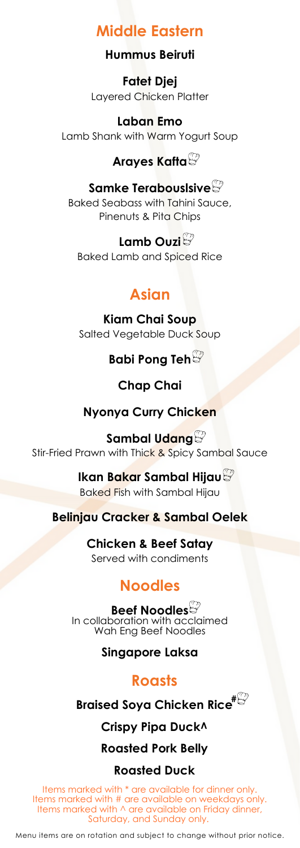## **Middle Eastern**

#### **Hummus Beiruti**

**Fatet Djej** Layered Chicken Platter

**Laban Emo** Lamb Shank with Warm Yogurt Soup

### **Arayes Kafta**

#### **Samke Terabouslsive**

Baked Seabass with Tahini Sauce, Pinenuts & Pita Chips

**Lamb Ouzi** Baked Lamb and Spiced Rice

### **Asian**

**Kiam Chai Soup** Salted Vegetable Duck Soup

### **Babi Pong Teh**

#### **Chap Chai**

#### **Nyonya Curry Chicken**

**Sambal Udang** Stir-Fried Prawn with Thick & Spicy Sambal Sauce

> **Ikan Bakar Sambal Hijau** Baked Fish with Sambal Hijau

**Belinjau Cracker & Sambal Oelek**

**Chicken & Beef Satay** Served with condiments

### **Noodles**

**Beef Noodles** In collaboration with acclaimed Wah Eng Beef Noodles

**Singapore Laksa**

#### **Roasts**

**Braised Soya Chicken Rice #**

**Crispy Pipa Duck^**

**Roasted Pork Belly**

#### **Roasted Duck**

Items marked with \* are available for dinner only. Items marked with # are available on weekdays only. Items marked with  $\land$  are available on Friday dinner, Saturday, and Sunday only.

Menu items are on rotation and subject to change without prior notice.